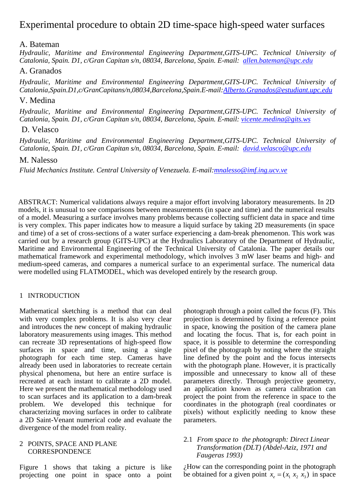# Experimental procedure to obtain 2D time-space high-speed water surfaces

# A. Bateman

*Hydraulic, Maritime and Environmental Engineering Department,GITS-UPC. Technical University of Catalonia, Spain. D1, c/Gran Capitan s/n, 08034, Barcelona, Spain. E-mail: allen.bateman@upc.edu*

# A. Granados

*Hydraulic, Maritime and Environmental Engineering Department,GITS-UPC. Technical University of Catalonia,Spain.D1,c/GranCapitans/n,08034,Barcelona,Spain.E-mail:Alberto.Granados@estudiant.upc.edu*

# V. Medina

*Hydraulic, Maritime and Environmental Engineering Department,GITS-UPC. Technical University of Catalonia, Spain. D1, c/Gran Capitan s/n, 08034, Barcelona, Spain. E-mail: vicente.medina@gits.ws* 

# D. Velasco

*Hydraulic, Maritime and Environmental Engineering Department,GITS-UPC. Technical University of Catalonia, Spain. D1, c/Gran Capitan s/n, 08034, Barcelona, Spain. E-mail: david.velasco@upc.edu*

# M. Nalesso

*Fluid Mechanics Institute. Central University of Venezuela. E-mail:mnalesso@imf.ing.ucv.ve*

ABSTRACT: Numerical validations always require a major effort involving laboratory measurements. In 2D models, it is unusual to see comparisons between measurements (in space and time) and the numerical results of a model. Measuring a surface involves many problems because collecting sufficient data in space and time is very complex. This paper indicates how to measure a liquid surface by taking 2D measurements (in space and time) of a set of cross-sections of a water surface experiencing a dam-break phenomenon. This work was carried out by a research group (GITS-UPC) at the Hydraulics Laboratory of the Department of Hydraulic, Maritime and Environmental Engineering of the Technical University of Catalonia. The paper details our mathematical framework and experimental methodology, which involves 3 mW laser beams and high- and medium-speed cameras, and compares a numerical surface to an experimental surface. The numerical data were modelled using FLATMODEL, which was developed entirely by the research group.

# 1 INTRODUCTION

Mathematical sketching is a method that can deal with very complex problems. It is also very clear and introduces the new concept of making hydraulic laboratory measurements using images. This method can recreate 3D representations of high-speed flow surfaces in space and time, using a single photograph for each time step. Cameras have already been used in laboratories to recreate certain physical phenomena, but here an entire surface is recreated at each instant to calibrate a 2D model. Here we present the mathematical methodology used to scan surfaces and its application to a dam-break problem. We developed this technique for characterizing moving surfaces in order to calibrate a 2D Saint-Venant numerical code and evaluate the divergence of the model from reality.

#### 2 POINTS, SPACE AND PLANE **CORRESPONDENCE**

Figure 1 shows that taking a picture is like projecting one point in space onto a point photograph through a point called the focus (F). This projection is determined by fixing a reference point in space, knowing the position of the camera plane and locating the focus. That is, for each point in space, it is possible to determine the corresponding pixel of the photograph by noting where the straight line defined by the point and the focus intersects with the photograph plane. However, it is practically impossible and unnecessary to know all of these parameters directly. Through projective geometry, an application known as camera calibration can project the point from the reference in space to the coordinates in the photograph (real coordinates or pixels) without explicitly needing to know these parameters.

### 2.1 *From space to the photograph: Direct Linear Transformation (DLT) (Abdel-Aziz, 1971 and Faugeras 1993)*

¿How can the corresponding point in the photograph be obtained for a given point  $x_a = (x_1, x_2, x_3)$  in space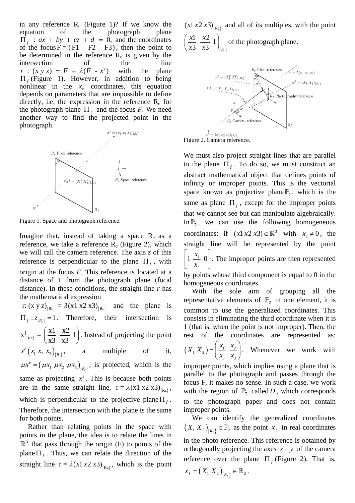in any reference  $R_e$  (Figure 1)? If we know the equation of the photograph plane  $\overline{\Pi}_f$  :  $ax + by + cz + d = 0$ , and the coordinates of the focus  $F = (F1 \t F2 \t F3)$ , then the point to be determined in the reference  $R_e$  is given by the intersection of the line<br>  $r : (xy z) = F + \lambda (F - x^e)$  with the plane  $r : (xy z) = F + \lambda (F - x^e)$  with the Π *<sup>f</sup>* (Figure 1). However, in addition to being nonlinear in the  $x_e$  coordinates, this equation depends on parameters that are impossible to define directly, i.e. the expression in the reference  $R_e$  for the photograph plane  $\Pi_f$  and the focus *F*. We need another way to find the projected point in the photograph.



Figure 1. Space and photograph reference.

Imagine that, instead of taking a space  $R_e$  as a reference, we take a reference  $R_c$  (Figure 2), which we will call the camera reference. The axis *z* of this reference is perpendicular to the plane  $\Pi_f$ , with origin at the focus *F*. This reference is located at a distance of 1 from the photograph plane (focal distance). In these conditions, the straight line *r* has the mathematical expression

 ${r}$ :  $(x \text{ y } z)_{\text{Re}} = \lambda (x1 \text{ x}2 \text{ x}3)_{\text{Re}}$  and the plane is  $\Pi_f : z_{fR} = 1$ . Therefore, their intersection is  ${Re}$ j  $x^{j}_{\{Re\}} = \left(\frac{x1}{x^{2}} - \frac{x2}{x^{2}}\right)^{2}$  $\left(\frac{x1}{x3} + \frac{x2}{x3} + 1\right)$ . Instead of projecting the point  $x^e(x_1, x_2, x_3)_{R_e},$  a multiple of it,  $\mu x^e = (\mu x_1 \mu x_2 \mu x_3)_{\{R_e\}}$ , is projected, which is the same as projecting  $x^e$ . This is because both points are in the same straight line,  $r = \lambda(x1 \times 2 \times 3)_{\text{Re}}$ , which is perpendicular to the projective plane  $\Pi_f$ . Therefore, the intersection with the plane is the same for both points.

Rather than relating points in the space with points in the plane, the idea is to relate the lines in  $\mathbb{R}^3$  that pass through the origin (F) to points of the plane  $\Pi_f$ . Thus, we can relate the direction of the straight line  $r = \lambda (x \lambda x^2 \lambda x^3)_{\text{Rec}}$ , which is the point

 $(x1 x2 x3)$ <sub>(Rc)</sub> and all of its multiples, with the point  $\frac{1}{2}$   $\frac{x}{2}$  1  $x1 \quad x$  $\left(\frac{x1}{x3} \frac{x2}{x3} 1\right)_{\{R_n\}}$  of the photograph plane.

 $\{R_c\}$ 3  $x3$   $\big|_{\{R_c\}}$ 



We must also project straight lines that are parallel to the plane  $\Pi_f$ . To do so, we must construct an abstract mathematical object that defines points of infinity or improper points. This is the vectorial space known as projective plane  $\mathbb{P}_2$ , which is the same as plane  $\Pi_f$ , except for the improper points that we cannot see but can manipulate algebraically. In  $\mathbb{P}_2$ , we can use the following homogeneous coordinates: if  $(x1 x2 x3) \in \mathbb{R}^3$  with  $x_3 \neq 0$ , the straight line will be represented by the point  $1 \stackrel{x_1}{\rightharpoonup} 0$ 2  $\left[1 \frac{x_1}{x_2} \right]$ . The improper points are then represented by points whose third component is equal to 0 in the

homogeneous coordinates. With the sole aim of grouping all the representative elements of  $\mathbb{P}_{2}$  in one element, it is common to use the generalized coordinates. This consists in eliminating the third coordinate when it is 1 (that is, when the point is not improper). Then, the rest of the coordinates are represented as:

$$
(X_1 X_2) = \left(\frac{x_1}{x_3} \frac{x_2}{x_3}\right)
$$
. Whenever we work with

improper points, which implies using a plane that is parallel to the photograph and passes through the focus F, it makes no sense. In such a case, we work with the region of  $\mathbb{P}_2$  called *D*, which corresponds to the photograph paper and does not contain improper points.

We can identify the generalized coordinates  $(X_1 X_2)_{R_f} \in \mathbb{P}_2$  as the point  $x_f$  in real coordinates in the photo reference. This reference is obtained by orthogonally projecting the axes  $x - y$  of the camera reference over the plane  $\Pi_f$  (Figure 2). That is,

$$
x_f = (X_1 \, X_2)_{\{R_f\}} \in \mathbb{R}_2 \, .
$$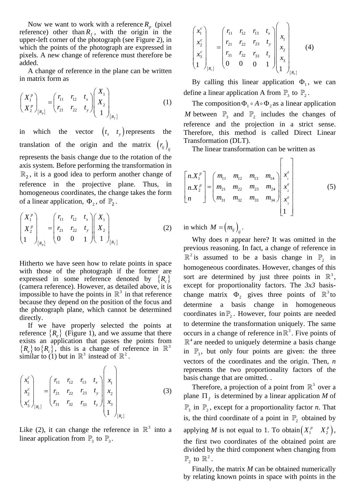Now we want to work with a reference  $R_p$  (pixel) reference) other than  $R_f$ , with the origin in the upper-left corner of the photograph (see Figure 2), in which the points of the photograph are expressed in pixels. A new change of reference must therefore be added.

A change of reference in the plane can be written in matrix form as

$$
\begin{pmatrix} X_1^p \ X_2^p \end{pmatrix}_{R_p} = \begin{pmatrix} r_{11} & r_{12} & t_x \ r_{21} & r_{22} & t_y \end{pmatrix} \begin{pmatrix} X_1 \ X_2 \ 1 \end{pmatrix}_{\{R_f\}}
$$
 (1)

in which the vector  $(t_x, t_y)$  represents the translation of the origin and the matrix  $(r_{ij})$ <sub>ij</sub> represents the basis change due to the rotation of the axis system. Before performing the transformation in  $\mathbb{R}_2$ , it is a good idea to perform another change of reference in the projective plane. Thus, in homogeneous coordinates, the change takes the form of a linear application,  $\Phi_2$ , of  $\mathbb{P}_2$ .

$$
\begin{pmatrix} X_1^p \\ X_2^p \\ 1 \end{pmatrix}_{\{R_p\}} = \begin{pmatrix} r_{11} & r_{12} & t_x \\ r_{21} & r_{22} & t_y \\ 0 & 0 & 1 \end{pmatrix} \begin{pmatrix} X_1 \\ X_2 \\ 1 \end{pmatrix}_{\{R_f\}}
$$
 (2)

Hitherto we have seen how to relate points in space with those of the photograph if the former are expressed in some reference denoted by  ${R<sub>c</sub>}$ (camera reference). However, as detailed above, it is impossible to have the points in  $\mathbb{R}^3$  in that reference because they depend on the position of the focus and the photograph plane, which cannot be determined directly.

If we have properly selected the points at reference  ${R<sub>e</sub>}$  (Figure 1), and we assume that there exists an application that passes the points from  ${R<sub>e</sub>}$  to  ${R<sub>e</sub>}$ , this is a change of reference in  $\mathbb{R}<sup>3</sup>$ similar to (1) but in  $\mathbb{R}^3$  instead of  $\mathbb{R}^2$ .

$$
\begin{pmatrix} x_1^c \\ x_2^c \\ x_3^c \end{pmatrix}_{\{R_c\}} = \begin{pmatrix} r_{11} & r_{12} & r_{13} & t_x \\ r_{21} & r_{22} & r_{23} & t_y \\ r_{31} & r_{32} & r_{33} & t_z \end{pmatrix} \begin{pmatrix} x_1 \\ x_2 \\ x_3 \\ x_4 \end{pmatrix}
$$
 (3)

Like (2), it can change the reference in  $\mathbb{R}^3$  into a linear application from  $\mathbb{P}_3$  to  $\mathbb{P}_3$ .

$$
\begin{pmatrix} x_1^c \\ x_2^c \\ x_3^c \\ 1 \end{pmatrix}_{\{R_c\}} = \begin{pmatrix} r_{11} & r_{12} & r_{13} & t_x \\ r_{21} & r_{22} & r_{23} & t_y \\ r_{31} & r_{32} & r_{33} & t_z \\ 0 & 0 & 0 & 1 \end{pmatrix} \begin{pmatrix} x_1 \\ x_2 \\ x_3 \\ x_3 \\ 1 \end{pmatrix}_{\{R_c\}}
$$
 (4)

By calling this linear application  $\Phi_1$ , we can define a linear application A from  $\mathbb{P}_3$  to  $\mathbb{P}_2$ .

The composition  $\Phi_1 \circ A \circ \Phi_2$  as a linear application *M* between  $\mathbb{P}_3$  and  $\mathbb{P}_2$  includes the changes of reference and the projection in a strict sense. Therefore, this method is called Direct Linear Transformation (DLT).

The linear transformation can be written as

$$
\begin{bmatrix} n.X_1^p \\ n.X_2^p \\ n \end{bmatrix} = \begin{bmatrix} m_{11} & m_{12} & m_{13} & m_{14} \\ m_{21} & m_{22} & m_{23} & m_{24} \\ m_{31} & m_{32} & m_{33} & m_{34} \end{bmatrix} \begin{bmatrix} x_e^e \\ x_2^e \\ x_3^e \\ x_4^e \\ 1 \end{bmatrix}
$$
 (5)

in which  $M = (m_{ij})_{ij}$ .

Why does *n* appear here? It was omitted in the previous reasoning. In fact, a change of reference in  $\mathbb{R}^2$  is assumed to be a basis change in  $\mathbb{P}_2$  in homogeneous coordinates. However, changes of this sort are determined by just three points in  $\mathbb{R}^3$ , except for proportionality factors. The *3x3* basischange matrix  $\Phi_2$  gives three points of  $\mathbb{R}^3$  to determine a basis change in homogeneous coordinates in  $\mathbb{P}_2$ . However, four points are needed to determine the transformation uniquely. The same occurs in a change of reference in  $\mathbb{R}^3$ . Five points of  $\mathbb{R}^4$  are needed to uniquely determine a basis change in  $\mathbb{P}_3$ , but only four points are given: the three vectors of the coordinates and the origin. Then, *n* represents the two proportionality factors of the basis change that are omitted. .

Therefore, a projection of a point from  $\mathbb{R}^3$  over a plane  $\Pi_f$  is determined by a linear application *M* of  $\mathbb{P}_3$  in  $\mathbb{P}_2$ , except for a proportionality factor *n*. That is, the third coordinate of a point in  $\mathbb{P}_2$  obtained by applying *M* is not equal to 1. To obtain $(X_1^p, X_2^p)$ , the first two coordinates of the obtained point are divided by the third component when changing from  $\mathbb{P}$ , to  $\mathbb{R}^2$ .

Finally, the matrix *M* can be obtained numerically by relating known points in space with points in the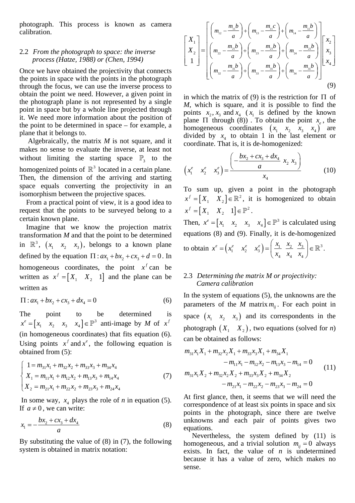photograph. This process is known as camera calibration.

#### 2.2 *From the photograph to space: the inverse process (Hatze, 1988) or (Chen, 1994)*

Once we have obtained the projectivity that connects the points in space with the points in the photograph through the focus, we can use the inverse process to obtain the point we need. However, a given point in the photograph plane is not represented by a single point in space but by a whole line projected through it. We need more information about the position of the point to be determined in space – for example, a plane that it belongs to.

Algebraically, the matrix *M* is not square, and it makes no sense to evaluate the inverse, at least not without limiting the starting space  $\mathbb{P}_3$  to the homogenized points of  $\mathbb{R}^3$  located in a certain plane. Then, the dimension of the arriving and starting space equals converting the projectivity in an isomorphism between the projective spaces.

From a practical point of view, it is a good idea to request that the points to be surveyed belong to a certain known plane.

Imagine that we know the projection matrix transformation *M* and that the point to be determined in  $\mathbb{R}^3$ ,  $(x_1, x_2, x_3)$ , belongs to a known plane defined by the equation  $\Pi : ax_1 + bx_2 + cx_3 + d = 0$ . In homogeneous coordinates, the point  $x^f$  can be written as  $x^f = \begin{bmatrix} X_1 & X_2 & 1 \end{bmatrix}$  and the plane can be written as

$$
\Pi : ax_1 + bx_2 + cx_3 + dx_4 = 0 \tag{6}
$$

The point to be determined is  $x^e = \begin{bmatrix} x_1 & x_2 & x_3 & x_4 \end{bmatrix} \in \mathbb{P}^3$  anti-image by *M* of  $x^f$ (in homogeneous coordinates) that fits equation (6). Using points  $x^f$  and  $x^e$ , the following equation is obtained from (5):

$$
\begin{cases}\n1 = m_{31}x_1 + m_{32}x_2 + m_{33}x_3 + m_{34}x_4 \\
X_1 = m_{11}x_1 + m_{12}x_2 + m_{13}x_3 + m_{14}x_4 \\
X_2 = m_{21}x_1 + m_{22}x_2 + m_{23}x_3 + m_{24}x_4\n\end{cases}
$$
\n(7)

In some way,  $x_4$  plays the role of *n* in equation (5). If  $a \neq 0$ , we can write:

$$
x_1 = -\frac{bx_2 + cx_3 + dx_4}{a} \tag{8}
$$

By substituting the value of (8) in (7), the following system is obtained in matrix notation:

$$
\begin{bmatrix} X_1 \\ X_2 \\ 1 \end{bmatrix} = \begin{bmatrix} \left( m_{12} - \frac{m_{11}b}{a} \right) + \left( m_{13} - \frac{m_{11}c}{a} \right) + \left( m_{14} - \frac{m_{11}b}{a} \right) \\ \left( m_{22} - \frac{m_{21}b}{a} \right) + \left( m_{23} - \frac{m_{21}b}{a} \right) + \left( m_{24} - \frac{m_{21}b}{a} \right) \\ \left( m_{32} - \frac{m_{31}b}{a} \right) + \left( m_{33} - \frac{m_{31}b}{a} \right) + \left( m_{34} - \frac{m_{31}b}{a} \right) \end{bmatrix} \begin{bmatrix} x_2 \\ x_3 \\ x_4 \end{bmatrix}
$$
\n(9)

in which the matrix of (9) is the restriction for  $\Pi$  of *M*, which is square, and it is possible to find the points  $x_2, x_3$  and  $x_4$  ( $x_1$  is defined by the known plane  $\Pi$  through (8)). To obtain the point  $x_e$ , the homogeneous coordinates  $(x_1 \ x_2 \ x_3 \ x_4)$  are divided by  $x_4$  to obtain 1 in the last element or coordinate. That is, it is de-homogenized:

$$
\begin{pmatrix} x_1^e & x_2^e & x_3^e \end{pmatrix} = \frac{\left( -\frac{bx_2 + cx_3 + dx_4}{a} x_2 x_3 \right)}{x_4} \tag{10}
$$

To sum up, given a point in the photograph  $x^f = [X_1 \ X_2] \in \mathbb{R}^2$ , it is homogenized to obtain  $x^f = \begin{bmatrix} X_1 & X_2 & 1 \end{bmatrix} \in \mathbb{P}^2$ .

Then,  $x^e = \begin{bmatrix} x_1 & x_2 & x_3 & x_4 \end{bmatrix} \in \mathbb{P}^3$  is calculated using equations (8) and (9). Finally, it is de-homogenized  $\begin{pmatrix} x_1 & x_2 & x_3 \end{pmatrix}$ 

to obtain 
$$
x^e = (x_1^e \quad x_2^e \quad x_3^e) = \left(\frac{x_1}{x_4} \quad \frac{x_2}{x_4} \quad \frac{x_3}{x_4}\right) \in \mathbb{R}^3
$$
.

# 2.3 *Determining the matrix M or projectivity: Camera calibration*

In the system of equations (5), the unknowns are the parameters of the  $M$  matrix  $m_{ii}$ . For each point in space  $(x_1, x_2, x_3)$  and its correspondents in the photograph  $(X_1 \ X_2)$ , two equations (solved for *n*) can be obtained as follows:

$$
m_{31}x_1X_1 + m_{32}x_2X_1 + m_{33}x_3X_1 + m_{34}X_1
$$
  
\n
$$
-m_{11}x_1 - m_{12}x_2 - m_{13}x_3 - m_{14} = 0
$$
  
\n
$$
m_{31}x_1X_2 + m_{32}x_2X_2 + m_{33}x_3X_2 + m_{34}X_2
$$
  
\n
$$
-m_{21}x_1 - m_{22}x_2 - m_{23}x_3 - m_{24} = 0
$$
\n(11)

At first glance, then, it seems that we will need the correspondence of at least six points in space and six points in the photograph, since there are twelve unknowns and each pair of points gives two equations.

Nevertheless, the system defined by (11) is homogeneous, and a trivial solution  $m_{ii} = 0$  always exists. In fact, the value of  $n$  is undetermined because it has a value of zero, which makes no sense.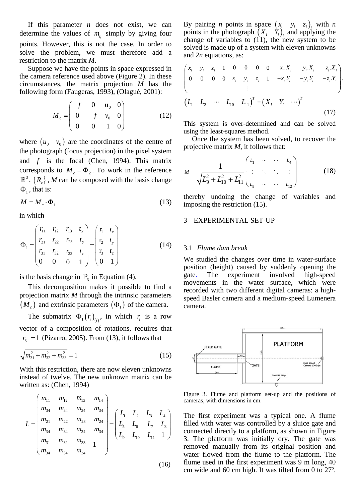If this parameter *n* does not exist, we can determine the values of  $m<sub>ij</sub>$  simply by giving four points. However, this is not the case. In order to solve the problem, we must therefore add a restriction to the matrix *M*.

Suppose we have the points in space expressed in the camera reference used above (Figure 2). In these circumstances, the matrix projection *M* has the following form (Faugeras, 1993), (Olagué, 2001):

$$
M_c = \begin{pmatrix} -f & 0 & u_0 & 0 \\ 0 & -f & v_0 & 0 \\ 0 & 0 & 1 & 0 \end{pmatrix}
$$
 (12)

where  $(u_0, v_0)$  are the coordinates of the centre of the photograph (focus projection) in the pixel system and *f* is the focal (Chen, 1994). This matrix corresponds to  $M_c = \Phi_2$ . To work in the reference  $\mathbb{R}^3$ ,  $\{R_e\}$ , *M* can be composed with the basis change  $\Phi_{1}$ , that is:

$$
M = M_c \cdot \Phi_1 \tag{13}
$$

in which

$$
\Phi_{1} = \begin{pmatrix} r_{11} & r_{12} & r_{13} & t_{x} \\ r_{21} & r_{22} & r_{23} & t_{y} \\ r_{31} & r_{32} & r_{33} & t_{z} \\ 0 & 0 & 0 & 1 \end{pmatrix} = \begin{pmatrix} r_{1} & t_{x} \\ r_{2} & t_{y} \\ r_{3} & t_{z} \\ 0 & 1 \end{pmatrix}
$$
(14)

is the basis change in  $\mathbb{P}_3$  in Equation (4).

This decomposition makes it possible to find a projection matrix *M* through the intrinsic parameters  $(M<sub>c</sub>)$  and extrinsic parameters  $(\Phi<sub>1</sub>)$  of the camera.

The submatrix  $\Phi_1(r_i)_{(i)}$ , in which  $r_i$  is a row vector of a composition of rotations, requires that  $\Vert r_3 \Vert = 1$  (Pizarro, 2005). From (13), it follows that

$$
\sqrt{m_{31}^2 + m_{32}^2 + m_{33}^2} = 1\tag{15}
$$

With this restriction, there are now eleven unknowns instead of twelve. The new unknown matrix can be written as: (Chen, 1994)

$$
L = \begin{pmatrix} \frac{m_{11}}{m_{34}} & \frac{m_{12}}{m_{34}} & \frac{m_{13}}{m_{34}} & \frac{m_{14}}{m_{34}} \\ \frac{m_{21}}{m_{34}} & \frac{m_{22}}{m_{34}} & \frac{m_{23}}{m_{34}} & \frac{m_{24}}{m_{34}} \\ \frac{m_{31}}{m_{34}} & \frac{m_{32}}{m_{34}} & \frac{m_{33}}{m_{34}} & 1 \end{pmatrix} = \begin{pmatrix} L_1 & L_2 & L_3 & L_4 \\ L_5 & L_6 & L_7 & L_8 \\ L_9 & L_{10} & L_{11} & 1 \end{pmatrix}
$$

 $(16)$ 

By pairing *n* points in space  $(x_i, y_i, z_i)$ , with *n* points in the photograph  $(X_i \ Y_i)$  and applying the change of variables to  $(11)$ , the new system to be solved is made up of a system with eleven unknowns and 2*n* equations, as:

$$
\begin{pmatrix}\nx_i & y_i & z_i & 1 & 0 & 0 & 0 & 0 & -x_i.X_i & -y_i.X_i & -z_i.X_i \\
0 & 0 & 0 & 0 & x_i & y_i & z_i & 1 & -x_i.Y_i & -y_i.Y_i & -z_i.Y_i \\
& & & & \vdots & & & \\
(L_1 & L_2 & \cdots & L_{10} & L_{11})^T = (X_i & Y_i & \cdots)^T & & & \\
& & & & & & (17)\n\end{pmatrix}
$$

This system is over-determined and can be solved using the least-squares method.

Once the system has been solved, to recover the projective matrix *M*, it follows that:

$$
M = \frac{1}{\sqrt{L_9^2 + L_{10}^2 + L_{11}^2}} \begin{pmatrix} L_1 & \cdots & \cdots & L_4 \\ \vdots & \ddots & \ddots & \vdots \\ L_9 & \cdots & \cdots & L_{12} \end{pmatrix}
$$
 (18)

thereby undoing the change of variables and imposing the restriction (15).

### 3 EXPERIMENTAL SET-UP

#### 3.1 *Flume dam break*

We studied the changes over time in water-surface position (height) caused by suddenly opening the gate. The experiment involved high-speed movements in the water surface, which were recorded with two different digital cameras: a highspeed Basler camera and a medium-speed Lumenera camera.



Figure 3. Flume and platform set-up and the positions of cameras, with dimensions in cm.

The first experiment was a typical one. A flume filled with water was controlled by a sluice gate and connected directly to a platform, as shown in Figure 3. The platform was initially dry. The gate was removed manually from its original position and water flowed from the flume to the platform. The flume used in the first experiment was 9 m long, 40 cm wide and 60 cm high. It was tilted from 0 to 27º.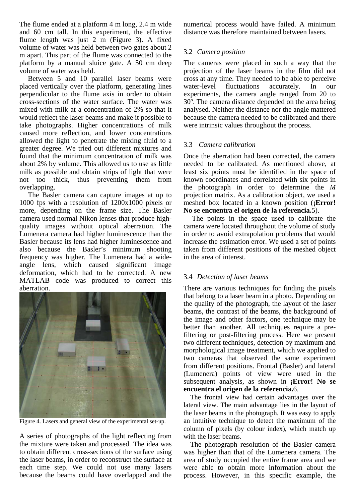The flume ended at a platform 4 m long, 2.4 m wide and 60 cm tall. In this experiment, the effective flume length was just 2 m (Figure 3). A fixed volume of water was held between two gates about 2 m apart. This part of the flume was connected to the platform by a manual sluice gate. A 50 cm deep volume of water was held.

Between 5 and 10 parallel laser beams were placed vertically over the platform, generating lines perpendicular to the flume axis in order to obtain cross-sections of the water surface. The water was mixed with milk at a concentration of 2% so that it would reflect the laser beams and make it possible to take photographs. Higher concentrations of milk caused more reflection, and lower concentrations allowed the light to penetrate the mixing fluid to a greater degree. We tried out different mixtures and found that the minimum concentration of milk was about 2% by volume. This allowed us to use as little milk as possible and obtain strips of light that were not too thick, thus preventing them from overlapping.

The Basler camera can capture images at up to 1000 fps with a resolution of 1200x1000 pixels or more, depending on the frame size. The Basler camera used normal Nikon lenses that produce highquality images without optical aberration. The Lumenera camera had higher luminescence than the Basler because its lens had higher luminescence and also because the Basler's minimum shooting frequency was higher. The Lumenera had a wideangle lens, which caused significant image deformation, which had to be corrected. A new MATLAB code was produced to correct this aberration.



Figure 4. Lasers and general view of the experimental set-up.

A series of photographs of the light reflecting from the mixture were taken and processed. The idea was to obtain different cross-sections of the surface using the laser beams, in order to reconstruct the surface at each time step. We could not use many lasers because the beams could have overlapped and the

numerical process would have failed. A minimum distance was therefore maintained between lasers.

# 3.2 *Camera position*

The cameras were placed in such a way that the projection of the laser beams in the film did not cross at any time. They needed to be able to perceive water-level fluctuations accurately. In our experiments, the camera angle ranged from 20 to 30º. The camera distance depended on the area being analysed. Neither the distance nor the angle mattered because the camera needed to be calibrated and there were intrinsic values throughout the process.

# 3.3 *Camera calibration*

Once the aberration had been corrected, the camera needed to be calibrated. As mentioned above, at least six points must be identified in the space of known coordinates and correlated with six points in the photograph in order to determine the *M* projection matrix. As a calibration object, we used a meshed box located in a known position (**¡Error! No se encuentra el origen de la referencia.**5).

The points in the space used to calibrate the camera were located throughout the volume of study in order to avoid extrapolation problems that would increase the estimation error. We used a set of points taken from different positions of the meshed object in the area of interest.

# 3.4 *Detection of laser beams*

There are various techniques for finding the pixels that belong to a laser beam in a photo. Depending on the quality of the photograph, the layout of the laser beams, the contrast of the beams, the background of the image and other factors, one technique may be better than another. All techniques require a prefiltering or post-filtering process. Here we present two different techniques, detection by maximum and morphological image treatment, which we applied to two cameras that observed the same experiment from different positions. Frontal (Basler) and lateral (Lumenera) points of view were used in the subsequent analysis, as shown in **¡Error! No se encuentra el origen de la referencia.**6.

The frontal view had certain advantages over the lateral view. The main advantage lies in the layout of the laser beams in the photograph. It was easy to apply an intuitive technique to detect the maximum of the column of pixels (by colour index), which match up with the laser beams.

The photograph resolution of the Basler camera was higher than that of the Lumenera camera. The area of study occupied the entire frame area and we were able to obtain more information about the process. However, in this specific example, the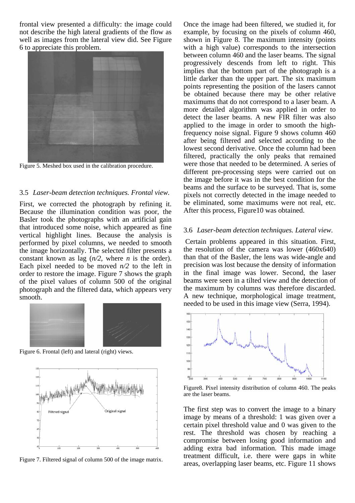frontal view presented a difficulty: the image could not describe the high lateral gradients of the flow as well as images from the lateral view did. See Figure 6 to appreciate this problem.



Figure 5. Meshed box used in the calibration procedure.

### 3.5 *Laser-beam detection techniques. Frontal view.*

First, we corrected the photograph by refining it. Because the illumination condition was poor, the Basler took the photographs with an artificial gain that introduced some noise, which appeared as fine vertical highlight lines. Because the analysis is performed by pixel columns, we needed to smooth the image horizontally. The selected filter presents a constant known as lag (*n/2*, where *n* is the order). Each pixel needed to be moved  $n/2$  to the left in order to restore the image. Figure 7 shows the graph of the pixel values of column 500 of the original photograph and the filtered data, which appears very smooth.



Figure 6. Frontal (left) and lateral (right) views.



Figure 7. Filtered signal of column 500 of the image matrix.

Once the image had been filtered, we studied it, for example, by focusing on the pixels of column 460, shown in Figure 8. The maximum intensity (points with a high value) corresponds to the intersection between column 460 and the laser beams. The signal progressively descends from left to right. This implies that the bottom part of the photograph is a little darker than the upper part. The six maximum points representing the position of the lasers cannot be obtained because there may be other relative maximums that do not correspond to a laser beam. A more detailed algorithm was applied in order to detect the laser beams. A new FIR filter was also applied to the image in order to smooth the highfrequency noise signal. Figure 9 shows column 460 after being filtered and selected according to the lowest second derivative. Once the column had been filtered, practically the only peaks that remained were those that needed to be determined. A series of different pre-processing steps were carried out on the image before it was in the best condition for the beams and the surface to be surveyed. That is, some pixels not correctly detected in the image needed to be eliminated, some maximums were not real, etc. After this process, Figure10 was obtained.

#### 3.6 *Laser-beam detection techniques. Lateral view.*

 Certain problems appeared in this situation. First, the resolution of the camera was lower (460x640) than that of the Basler, the lens was wide-angle and precision was lost because the density of information in the final image was lower. Second, the laser beams were seen in a tilted view and the detection of the maximum by columns was therefore discarded. A new technique, morphological image treatment, needed to be used in this image view (Serra, 1994).



Figure8. Pixel intensity distribution of column 460. The peaks are the laser beams.

The first step was to convert the image to a binary image by means of a threshold: 1 was given over a certain pixel threshold value and 0 was given to the rest. The threshold was chosen by reaching a compromise between losing good information and adding extra bad information. This made image treatment difficult, i.e. there were gaps in white areas, overlapping laser beams, etc. Figure 11 shows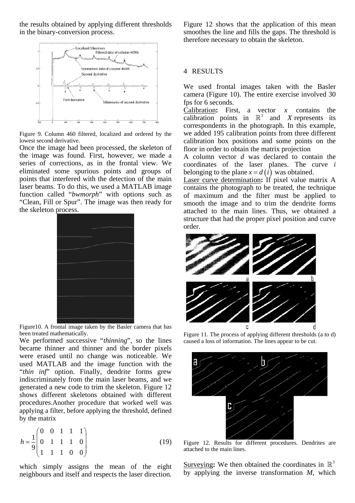the results obtained by applying different thresholds in the binary-conversion process.



Figure 9. Column 460 filtered, localized and ordered by the lowest second derivative.

Once the image had been processed, the skeleton of the image was found. First, however, we made a series of corrections, as in the frontal view. We eliminated some spurious points and groups of points that interfered with the detection of the main laser beams. To do this, we used a MATLAB image function called "*bwmorph*" with options such as "Clean, Fill or Spur". The image was then ready for the skeleton process.



Figure10. A frontal image taken by the Basler camera that has been treated mathematically.

We performed successive "*thinning*", so the lines became thinner and thinner and the border pixels were erased until no change was noticeable. We used MATLAB and the image function with the "thin inf" option. Finally, dendrite forms grew indiscriminately from the main laser beams, and we generated a new code to trim the skeleton. Figure 12 shows different skeletons obtained with different procedures.Another procedure that worked well was applying a filter, before applying the threshold, defined by the matrix

$$
h = \frac{1}{9} \begin{pmatrix} 0 & 0 & 1 & 1 & 1 \\ 0 & 1 & 1 & 1 & 0 \\ 1 & 1 & 1 & 0 & 0 \end{pmatrix}
$$
 (19)

which simply assigns the mean of the eight neighbours and itself and respects the laser direction.

Figure 12 shows that the application of this mean smoothes the line and fills the gaps. The threshold is therefore necessary to obtain the skeleton.

#### 4 RESULTS

We used frontal images taken with the Basler camera (Figure 10). The entire exercise involved 30 fps for 6 seconds.

Calibration**:** First, a vector *x* contains the calibration points in  $\mathbb{R}^3$  and *X* represents its correspondents in the photograph. In this example, we added 195 calibration points from three different calibration box positions and some points on the floor in order to obtain the matrix projection

A column vector *d* was declared to contain the coordinates of the laser planes. The curve *i* belonging to the plane  $x = d(i)$  was obtained.

Laser curve determination**:** If pixel value matrix A contains the photograph to be treated, the technique of maximum and the filter must be applied to smooth the image and to trim the dendrite forms attached to the main lines. Thus, we obtained a structure that had the proper pixel position and curve order.



Figure 11. The process of applying different thresholds (a to d) caused a loss of information. The lines appear to be cut.



Figure 12. Results for different procedures. Dendrites are attached to the main lines.

Surveying: We then obtained the coordinates in  $\mathbb{R}^3$ by applying the inverse transformation *M*, which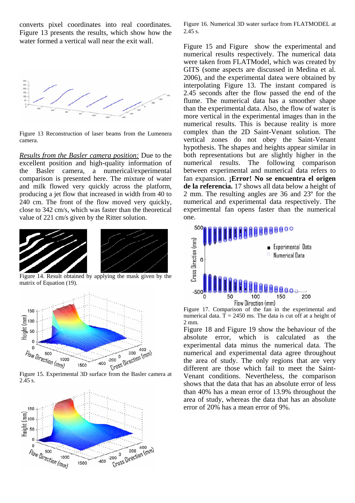converts pixel coordinates into real coordinates. Figure 13 presents the results, which show how the water formed a vertical wall near the exit wall.



Figure 13 Reconstruction of laser beams from the Lumenera camera.

*Results from the Basler camera position:* Due to the excellent position and high-quality information of the Basler camera, a numerical/experimental comparison is presented here. The mixture of water and milk flowed very quickly across the platform, producing a jet flow that increased in width from 40 to 240 cm. The front of the flow moved very quickly, close to 342 cm/s, which was faster than the theoretical value of 221 cm/s given by the Ritter solution.



 Figure 14. Result obtained by applying the mask given by the matrix of Equation (19).



2.45 s.



Figure 16. Numerical 3D water surface from FLATMODEL at 2.45 s.

Figure 15 and Figure show the experimental and numerical results respectively. The numerical data were taken from FLATModel, which was created by GITS (some aspects are discussed in Medina et al. 2006), and the experimental datea were obtained by interpolating Figure 13. The instant compared is 2.45 seconds after the flow passed the end of the flume. The numerical data has a smoother shape than the experimental data. Also, the flow of water is more vertical in the experimental images than in the numerical results. This is because reality is more complex than the 2D Saint-Venant solution. The vertical zones do not obey the Saint-Venant hypothesis. The shapes and heights appear similar in both representations but are slightly higher in the numerical results. The following comparison between experimental and numerical data refers to fan expansion. **¡Error! No se encuentra el origen de la referencia.** 17 shows all data below a height of 2 mm. The resulting angles are 36 and 23º for the numerical and experimental data respectively. The experimental fan opens faster than the numerical one.



Figure 17. Comparison of the fan in the experimental and numerical data.  $T = 2450$  ms. The data is cut off at a height of 2 mm.

Figure 18 and Figure 19 show the behaviour of the absolute error, which is calculated as the experimental data minus the numerical data. The numerical and experimental data agree throughout the area of study. The only regions that are very different are those which fail to meet the Saint-Venant conditions. Nevertheless, the comparison shows that the data that has an absolute error of less than 40% has a mean error of 13.9% throughout the area of study, whereas the data that has an absolute error of 20% has a mean error of 9%.